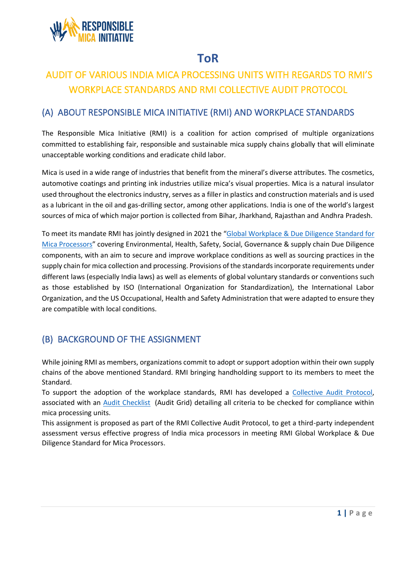

# **ToR**

# AUDIT OF VARIOUS INDIA MICA PROCESSING UNITS WITH REGARDS TO RMI'S WORKPLACE STANDARDS AND RMI COLLECTIVE AUDIT PROTOCOL

### (A) ABOUT RESPONSIBLE MICA INITIATIVE (RMI) AND WORKPLACE STANDARDS

The Responsible Mica Initiative (RMI) is a coalition for action comprised of multiple organizations committed to establishing fair, responsible and sustainable mica supply chains globally that will eliminate unacceptable working conditions and eradicate child labor.

Mica is used in a wide range of industries that benefit from the mineral's diverse attributes. The cosmetics, automotive coatings and printing ink industries utilize mica's visual properties. Mica is a natural insulator used throughout the electronics industry, serves as a filler in plastics and construction materials and is used as a lubricant in the oil and gas-drilling sector, among other applications. India is one of the world's largest sources of mica of which major portion is collected from Bihar, Jharkhand, Rajasthan and Andhra Pradesh.

To meet its mandate RMI has jointly designed in 2021 the "Global [Workplace & Due Diligence Standard](https://responsible-mica-initiative.com/wp-content/uploads/2022/05/Global-Standard-Mica-Processors_1.0-20220505.pdf) for [Mica Processors](https://responsible-mica-initiative.com/wp-content/uploads/2022/05/Global-Standard-Mica-Processors_1.0-20220505.pdf)" covering Environmental, Health, Safety, Social, Governance & supply chain Due Diligence components, with an aim to secure and improve workplace conditions as well as sourcing practices in the supply chain for mica collection and processing. Provisions of the standards incorporate requirements under different laws (especially India laws) as well as elements of global voluntary standards or conventions such as those established by ISO (International Organization for Standardization), the International Labor Organization, and the US Occupational, Health and Safety Administration that were adapted to ensure they are compatible with local conditions.

# (B) BACKGROUND OF THE ASSIGNMENT

While joining RMI as members, organizations commit to adopt or support adoption within their own supply chains of the above mentioned Standard. RMI bringing handholding support to its members to meet the Standard.

To support the adoption of the workplace standards, RMI has developed a [Collective Audit Protocol,](https://responsible-mica-initiative.com/wp-content/uploads/2021/12/Collective-audit-protocol-20211123.pdf) associated with an [Audit Checklist](https://responsible-mica-initiative.com/knowledge-center) (Audit Grid) detailing all criteria to be checked for compliance within mica processing units.

This assignment is proposed as part of the RMI Collective Audit Protocol, to get a third-party independent assessment versus effective progress of India mica processors in meeting RMI Global Workplace & Due Diligence Standard for Mica Processors.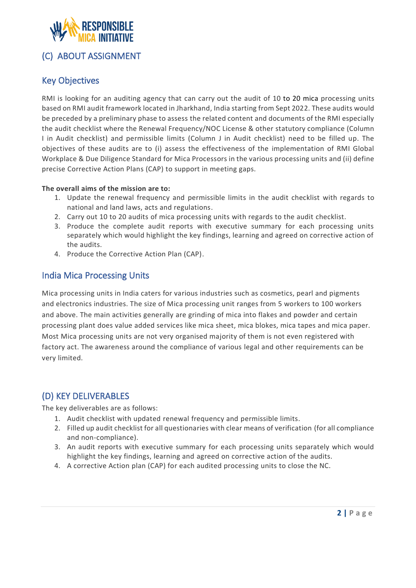

# (C) ABOUT ASSIGNMENT

### Key Objectives

RMI is looking for an auditing agency that can carry out the audit of 10 to 20 mica processing units based on RMI audit framework located in Jharkhand, India starting from Sept 2022. These audits would be preceded by a preliminary phase to assess the related content and documents of the RMI especially the audit checklist where the Renewal Frequency/NOC License & other statutory compliance (Column I in Audit checklist) and permissible limits (Column J in Audit checklist) need to be filled up. The objectives of these audits are to (i) assess the effectiveness of the implementation of RMI Global Workplace & Due Diligence Standard for Mica Processors in the various processing units and (ii) define precise Corrective Action Plans (CAP) to support in meeting gaps.

#### **The overall aims of the mission are to:**

- 1. Update the renewal frequency and permissible limits in the audit checklist with regards to national and land laws, acts and regulations.
- 2. Carry out 10 to 20 audits of mica processing units with regards to the audit checklist.
- 3. Produce the complete audit reports with executive summary for each processing units separately which would highlight the key findings, learning and agreed on corrective action of the audits.
- 4. Produce the Corrective Action Plan (CAP).

### India Mica Processing Units

Mica processing units in India caters for various industries such as cosmetics, pearl and pigments and electronics industries. The size of Mica processing unit ranges from 5 workers to 100 workers and above. The main activities generally are grinding of mica into flakes and powder and certain processing plant does value added services like mica sheet, mica blokes, mica tapes and mica paper. Most Mica processing units are not very organised majority of them is not even registered with factory act. The awareness around the compliance of various legal and other requirements can be very limited.

# (D) KEY DELIVERABLES

The key deliverables are as follows:

- 1. Audit checklist with updated renewal frequency and permissible limits.
- 2. Filled up audit checklist for all questionaries with clear means of verification (for all compliance and non-compliance).
- 3. An audit reports with executive summary for each processing units separately which would highlight the key findings, learning and agreed on corrective action of the audits.
- 4. A corrective Action plan (CAP) for each audited processing units to close the NC.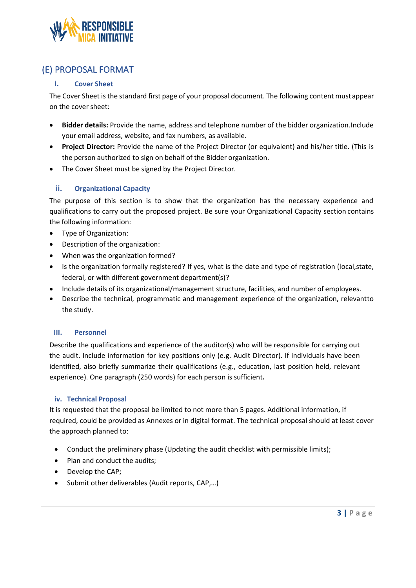

### (E) PROPOSAL FORMAT

#### **i. Cover Sheet**

The Cover Sheet is the standard first page of your proposal document. The following content must appear on the cover sheet:

- **Bidder details:** Provide the name, address and telephone number of the bidder organization.Include your email address, website, and fax numbers, as available.
- **Project Director:** Provide the name of the Project Director (or equivalent) and his/her title. (This is the person authorized to sign on behalf of the Bidder organization.
- The Cover Sheet must be signed by the Project Director.

#### **ii. Organizational Capacity**

The purpose of this section is to show that the organization has the necessary experience and qualifications to carry out the proposed project. Be sure your Organizational Capacity section contains the following information:

- Type of Organization:
- Description of the organization:
- When was the organization formed?
- Is the organization formally registered? If yes, what is the date and type of registration (local,state, federal, or with different government department(s)?
- Include details of its organizational/management structure, facilities, and number of employees.
- Describe the technical, programmatic and management experience of the organization, relevantto the study.

#### **III. Personnel**

Describe the qualifications and experience of the auditor(s) who will be responsible for carrying out the audit. Include information for key positions only (e.g. Audit Director). If individuals have been identified, also briefly summarize their qualifications (e.g., education, last position held, relevant experience). One paragraph (250 words) for each person is sufficient**.**

#### **iv. Technical Proposal**

It is requested that the proposal be limited to not more than 5 pages. Additional information, if required, could be provided as Annexes or in digital format. The technical proposal should at least cover the approach planned to:

- Conduct the preliminary phase (Updating the audit checklist with permissible limits);
- Plan and conduct the audits;
- Develop the CAP;
- Submit other deliverables (Audit reports, CAP,...)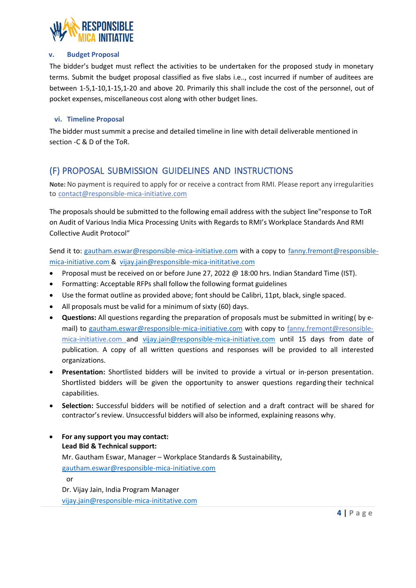

#### **v. Budget Proposal**

The bidder's budget must reflect the activities to be undertaken for the proposed study in monetary terms. Submit the budget proposal classified as five slabs i.e.., cost incurred if number of auditees are between 1-5,1-10,1-15,1-20 and above 20. Primarily this shall include the cost of the personnel, out of pocket expenses, miscellaneous cost along with other budget lines.

#### **vi. Timeline Proposal**

The bidder must summit a precise and detailed timeline in line with detail deliverable mentioned in section -C & D of the ToR.

### (F) PROPOSAL SUBMISSION GUIDELINES AND INSTRUCTIONS

**Note:** No payment is required to apply for or receive a contract from RMI. Please report any irregularities to contac[t@responsible-mica-initiative.com](mailto:ppatel@pathfinder.org)

The proposals should be submitted to the following email address with the subject line"response to ToR on Audit of Various India Mica Processing Units with Regards to RMI's Workplace Standards And RMI Collective Audit Protocol"

Send it to: [gautham.eswar@responsible-mica-initiative.com](mailto:gautham.eswar@responsible-mica-initiative.com) with a copy to [fanny.fremont@responsible](mailto:fanny.fremont@responsible-mica-initiative.com)[mica-initiative.com](mailto:fanny.fremont@responsible-mica-initiative.com) & vijay.jain@responsible-mica-inititative.com

- Proposal must be received on or before June 27, 2022 @ 18:00 hrs. Indian Standard Time (IST).
- Formatting: Acceptable RFPs shall follow the following format guidelines
- Use the format outline as provided above; font should be Calibri, 11pt, black, single spaced.
- All proposals must be valid for a minimum of sixty (60) days.
- **Questions:** All questions regarding the preparation of proposals must be submitted in writing( by email) to [gautham.eswar@responsible-mica-initiative.com](mailto:gautham.eswar@responsible-mica-initiative.com) with copy to fanny.fremont@resonsiblemica-initiative.com and [vijay.jain@responsible-mica-initiative.com](mailto:vijay.jain@responsible-mica-initiative.com) until 15 days from date of publication. A copy of all written questions and responses will be provided to all interested organizations.
- **Presentation:** Shortlisted bidders will be invited to provide a virtual or in-person presentation. Shortlisted bidders will be given the opportunity to answer questions regarding their technical capabilities.
- **Selection:** Successful bidders will be notified of selection and a draft contract will be shared for contractor's review. Unsuccessful bidders will also be informed, explaining reasons why.
- **For any support you may contact: Lead Bid & Technical support:**  Mr. Gautham Eswar, Manager – Workplace Standards & Sustainability, [gautham.eswar@responsible-mica-initiative.com](mailto:gautham.eswar@responsible-mica-initiative.com) or Dr. Vijay Jain, India Program Manager

[vijay.jain@responsible-mica-inititative.com](mailto:vijay.jain@responsible-mica-inititative.com)